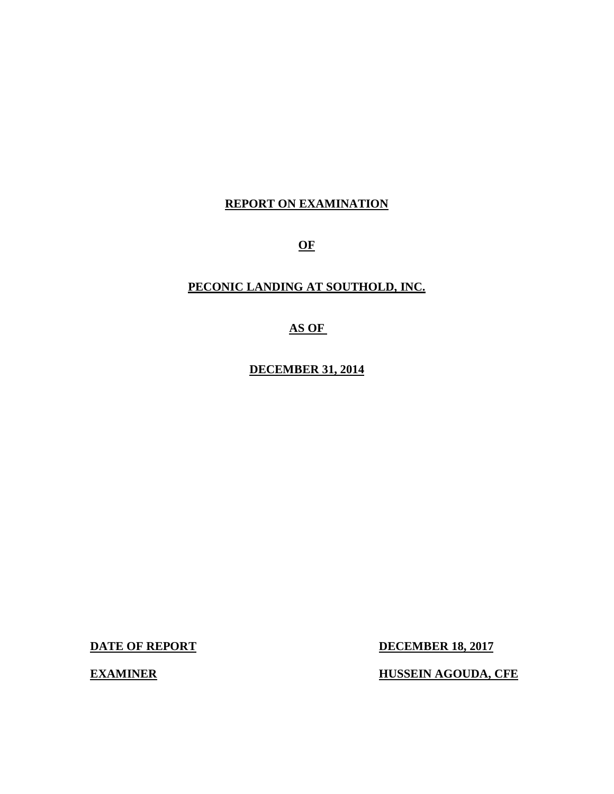### **REPORT ON EXAMINATION**

**OF** 

#### **PECONIC LANDING AT SOUTHOLD, INC.**

#### **AS OF**

 **DECEMBER 31, 2014** 

**DATE OF REPORT** 

**DECEMBER 18, 2017** 

**EXAMINER** 

**EXAMPLE HUSSEIN AGOUDA, CFE**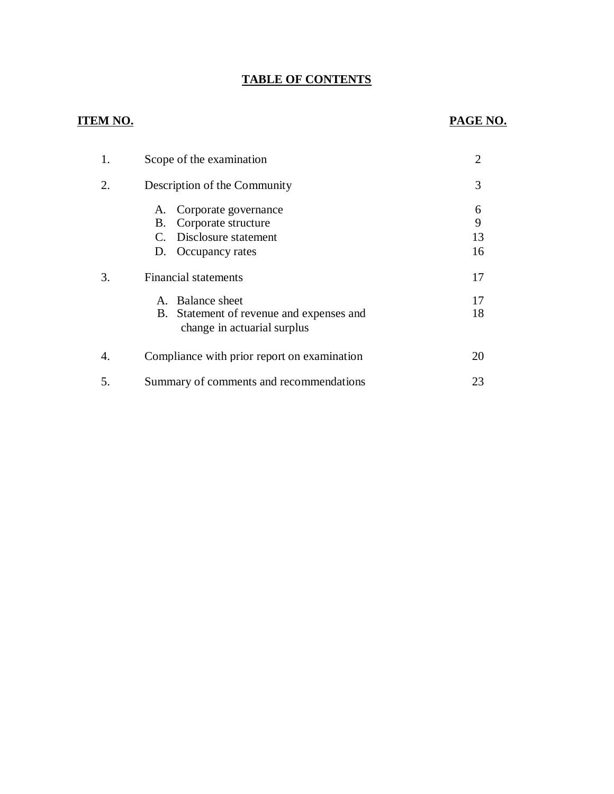#### **TABLE OF CONTENTS**

## **ITEM NO. PAGE NO.**

| 1. | Scope of the examination                                                                                    | $\overline{2}$     |
|----|-------------------------------------------------------------------------------------------------------------|--------------------|
| 2. | Description of the Community                                                                                | 3                  |
|    | Corporate governance<br>А.<br>Corporate structure<br>В.<br>C. Disclosure statement<br>Occupancy rates<br>D. | 6<br>9<br>13<br>16 |
| 3. | <b>Financial statements</b>                                                                                 | 17                 |
|    | A. Balance sheet<br>B. Statement of revenue and expenses and<br>change in actuarial surplus                 | 17<br>18           |
| 4. | Compliance with prior report on examination                                                                 | 20                 |
| 5. | Summary of comments and recommendations                                                                     | 23                 |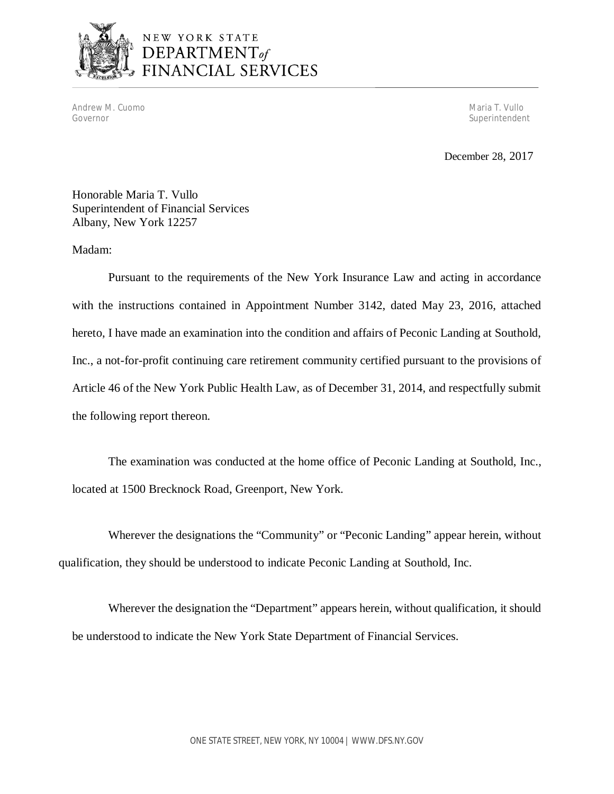

# NEW YORK STATE DEPARTMENT<sub>of</sub><br>FINANCIAL SERVICES

Andrew M. Cuomo Maria T. Vullo (1999) and the control of the control of the control of the control of the control of the control of the control of the control of the control of the control of the control of the control of Governor

Superintendent

December 28, 2017

 Honorable Maria T. Vullo Superintendent of Financial Services Albany, New York 12257

#### Madam:

 Pursuant to the requirements of the New York Insurance Law and acting in accordance with the instructions contained in Appointment Number 3142, dated May 23, 2016, attached hereto, I have made an examination into the condition and affairs of Peconic Landing at Southold, Inc., a not-for-profit continuing care retirement community certified pursuant to the provisions of Article 46 of the New York Public Health Law, as of December 31, 2014, and respectfully submit the following report thereon.

 located at 1500 Brecknock Road, Greenport, New York. The examination was conducted at the home office of Peconic Landing at Southold, Inc.,

 Wherever the designations the "Community" or "Peconic Landing" appear herein, without qualification, they should be understood to indicate Peconic Landing at Southold, Inc.

 Wherever the designation the "Department" appears herein, without qualification, it should be understood to indicate the New York State Department of Financial Services.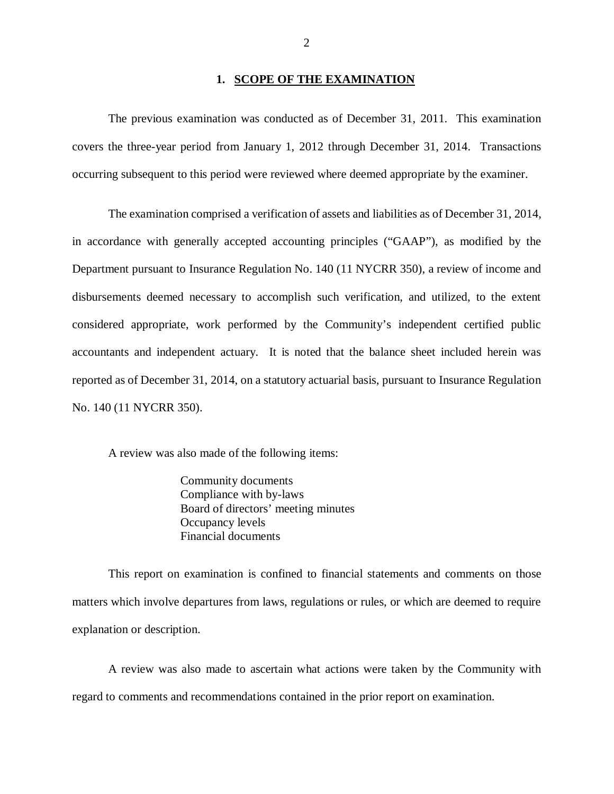#### **1. SCOPE OF THE EXAMINATION**

 The previous examination was conducted as of December 31, 2011. This examination covers the three-year period from January 1, 2012 through December 31, 2014. Transactions occurring subsequent to this period were reviewed where deemed appropriate by the examiner.

 The examination comprised a verification of assets and liabilities as of December 31, 2014, in accordance with generally accepted accounting principles ("GAAP"), as modified by the Department pursuant to Insurance Regulation No. 140 (11 NYCRR 350), a review of income and disbursements deemed necessary to accomplish such verification, and utilized, to the extent considered appropriate, work performed by the Community's independent certified public accountants and independent actuary. It is noted that the balance sheet included herein was reported as of December 31, 2014, on a statutory actuarial basis, pursuant to Insurance Regulation No. 140 (11 NYCRR 350).

A review was also made of the following items:

Community documents Compliance with by-laws Board of directors' meeting minutes Occupancy levels Financial documents

 This report on examination is confined to financial statements and comments on those matters which involve departures from laws, regulations or rules, or which are deemed to require explanation or description.

 A review was also made to ascertain what actions were taken by the Community with regard to comments and recommendations contained in the prior report on examination.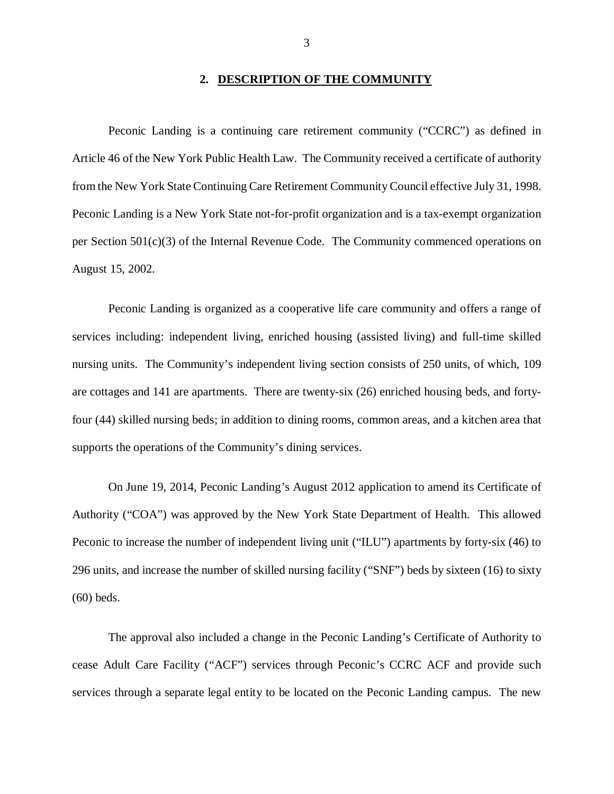#### **2. DESCRIPTION OF THE COMMUNITY**

 Peconic Landing is a continuing care retirement community ("CCRC") as defined in Article 46 of the New York Public Health Law. The Community received a certificate of authority from the New York State Continuing Care Retirement Community Council effective July 31, 1998. Peconic Landing is a New York State not-for-profit organization and is a tax-exempt organization per Section 501(c)(3) of the Internal Revenue Code. The Community commenced operations on August 15, 2002.

 Peconic Landing is organized as a cooperative life care community and offers a range of services including: independent living, enriched housing (assisted living) and full-time skilled nursing units. The Community's independent living section consists of 250 units, of which, 109 are cottages and 141 are apartments. There are twenty-six (26) enriched housing beds, and forty- four (44) skilled nursing beds; in addition to dining rooms, common areas, and a kitchen area that supports the operations of the Community's dining services.

 On June 19, 2014, Peconic Landing's August 2012 application to amend its Certificate of Authority ("COA") was approved by the New York State Department of Health. This allowed Peconic to increase the number of independent living unit ("ILU") apartments by forty-six (46) to 296 units, and increase the number of skilled nursing facility ("SNF") beds by sixteen (16) to sixty (60) beds.

 The approval also included a change in the Peconic Landing's Certificate of Authority to cease Adult Care Facility ("ACF") services through Peconic's CCRC ACF and provide such services through a separate legal entity to be located on the Peconic Landing campus. The new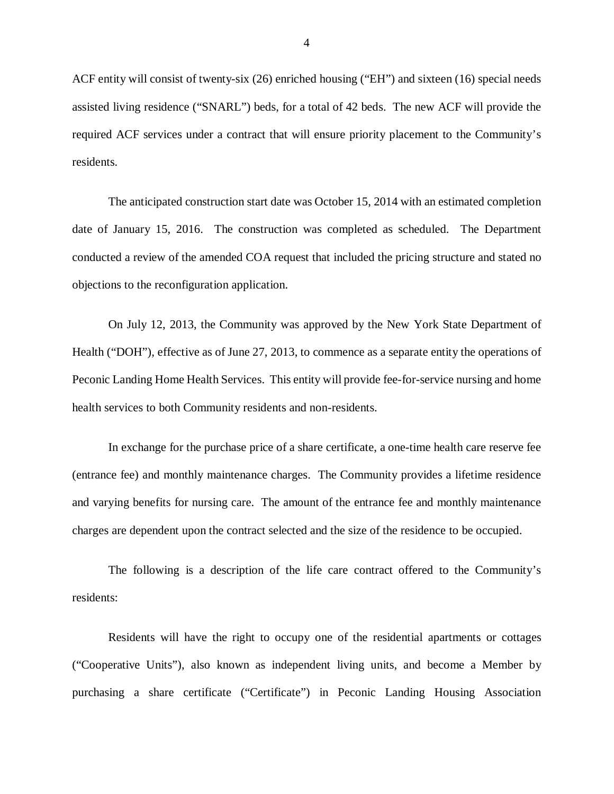ACF entity will consist of twenty-six (26) enriched housing ("EH") and sixteen (16) special needs assisted living residence ("SNARL") beds, for a total of 42 beds. The new ACF will provide the required ACF services under a contract that will ensure priority placement to the Community's residents.

 The anticipated construction start date was October 15, 2014 with an estimated completion date of January 15, 2016. The construction was completed as scheduled. The Department conducted a review of the amended COA request that included the pricing structure and stated no objections to the reconfiguration application.

 On July 12, 2013, the Community was approved by the New York State Department of Health ("DOH"), effective as of June 27, 2013, to commence as a separate entity the operations of Peconic Landing Home Health Services. This entity will provide fee-for-service nursing and home health services to both Community residents and non-residents.

 In exchange for the purchase price of a share certificate, a one-time health care reserve fee (entrance fee) and monthly maintenance charges. The Community provides a lifetime residence and varying benefits for nursing care. The amount of the entrance fee and monthly maintenance charges are dependent upon the contract selected and the size of the residence to be occupied.

 The following is a description of the life care contract offered to the Community's residents:

 Residents will have the right to occupy one of the residential apartments or cottages ("Cooperative Units"), also known as independent living units, and become a Member by purchasing a share certificate ("Certificate") in Peconic Landing Housing Association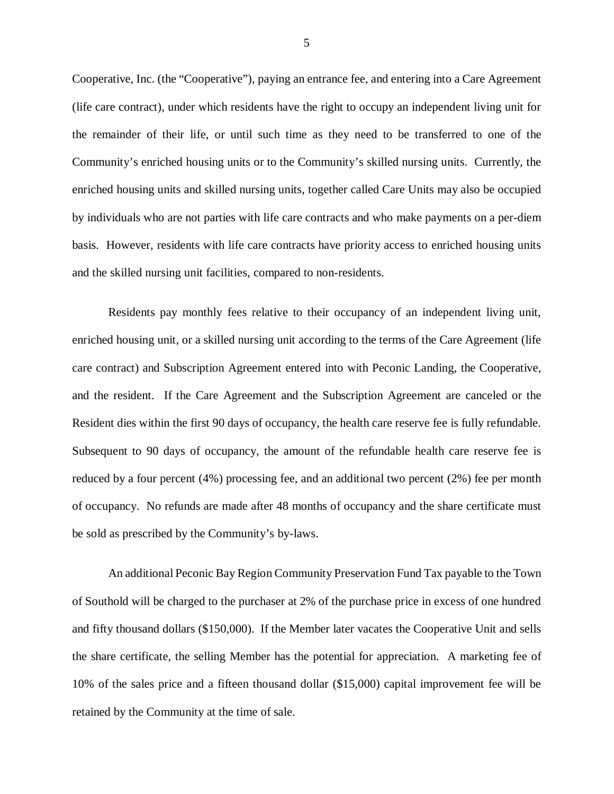Cooperative, Inc. (the "Cooperative"), paying an entrance fee, and entering into a Care Agreement (life care contract), under which residents have the right to occupy an independent living unit for the remainder of their life, or until such time as they need to be transferred to one of the Community's enriched housing units or to the Community's skilled nursing units. Currently, the enriched housing units and skilled nursing units, together called Care Units may also be occupied by individuals who are not parties with life care contracts and who make payments on a per-diem basis. However, residents with life care contracts have priority access to enriched housing units and the skilled nursing unit facilities, compared to non-residents.

 Residents pay monthly fees relative to their occupancy of an independent living unit, enriched housing unit, or a skilled nursing unit according to the terms of the Care Agreement (life care contract) and Subscription Agreement entered into with Peconic Landing, the Cooperative, and the resident. If the Care Agreement and the Subscription Agreement are canceled or the Resident dies within the first 90 days of occupancy, the health care reserve fee is fully refundable. Subsequent to 90 days of occupancy, the amount of the refundable health care reserve fee is reduced by a four percent (4%) processing fee, and an additional two percent (2%) fee per month of occupancy. No refunds are made after 48 months of occupancy and the share certificate must be sold as prescribed by the Community's by-laws.

 An additional Peconic Bay Region Community Preservation Fund Tax payable to the Town of Southold will be charged to the purchaser at 2% of the purchase price in excess of one hundred and fifty thousand dollars (\$150,000). If the Member later vacates the Cooperative Unit and sells the share certificate, the selling Member has the potential for appreciation. A marketing fee of 10% of the sales price and a fifteen thousand dollar (\$15,000) capital improvement fee will be retained by the Community at the time of sale.

5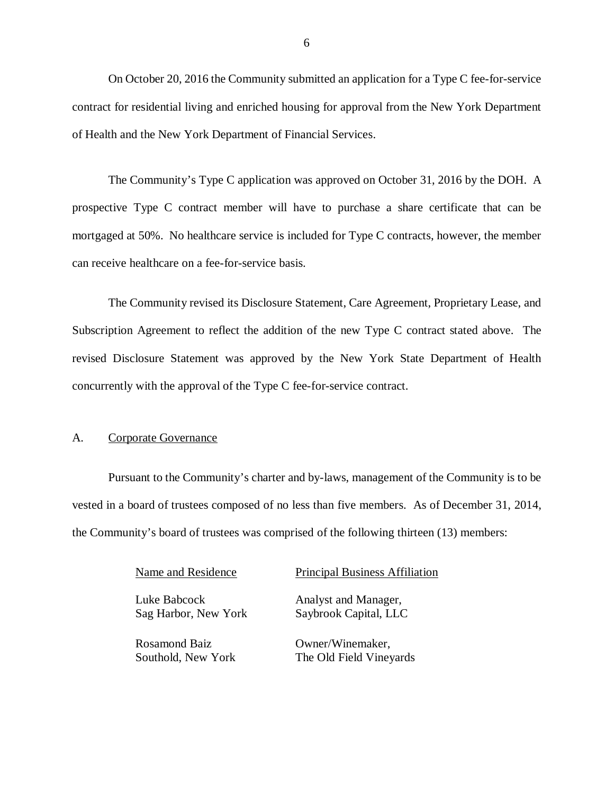On October 20, 2016 the Community submitted an application for a Type C fee-for-service contract for residential living and enriched housing for approval from the New York Department of Health and the New York Department of Financial Services.

 The Community's Type C application was approved on October 31, 2016 by the DOH. A prospective Type C contract member will have to purchase a share certificate that can be mortgaged at 50%. No healthcare service is included for Type C contracts, however, the member can receive healthcare on a fee-for-service basis.

 The Community revised its Disclosure Statement, Care Agreement, Proprietary Lease, and Subscription Agreement to reflect the addition of the new Type C contract stated above. The revised Disclosure Statement was approved by the New York State Department of Health concurrently with the approval of the Type C fee-for-service contract.

#### A. Corporate Governance

 Pursuant to the Community's charter and by-laws, management of the Community is to be vested in a board of trustees composed of no less than five members. As of December 31, 2014, the Community's board of trustees was comprised of the following thirteen (13) members:

Name and Residence

 Luke Babcock Sag Harbor, New York

 Southold, New York Rosamond Baiz

Principal Business Affiliation

 Saybrook Capital, LLC Analyst and Manager,

Owner/Winemaker, The Old Field Vineyards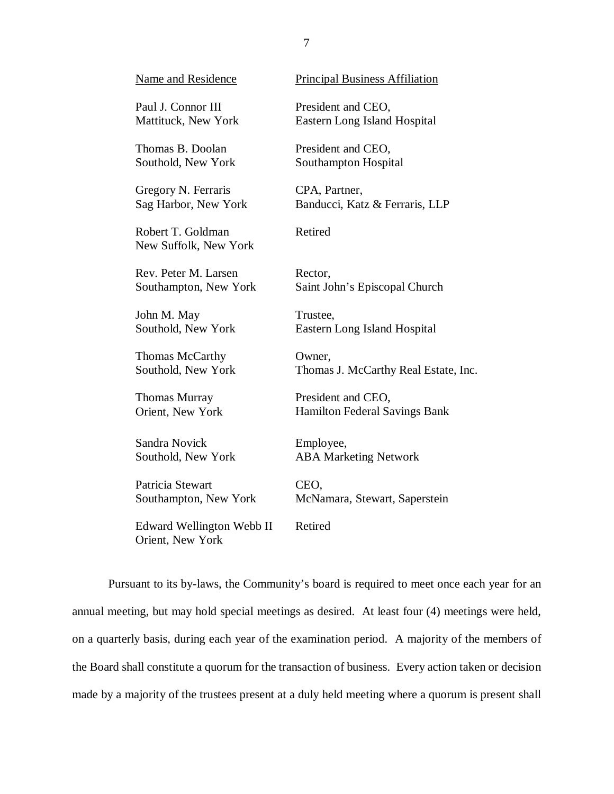| <b>Name and Residence</b>                            | <b>Principal Business Affiliation</b> |
|------------------------------------------------------|---------------------------------------|
| Paul J. Connor III                                   | President and CEO,                    |
| Mattituck, New York                                  | Eastern Long Island Hospital          |
| Thomas B. Doolan                                     | President and CEO,                    |
| Southold, New York                                   | Southampton Hospital                  |
| Gregory N. Ferraris                                  | CPA, Partner,                         |
| Sag Harbor, New York                                 | Banducci, Katz & Ferraris, LLP        |
| Robert T. Goldman<br>New Suffolk, New York           | Retired                               |
| Rev. Peter M. Larsen                                 | Rector,                               |
| Southampton, New York                                | Saint John's Episcopal Church         |
| John M. May                                          | Trustee,                              |
| Southold, New York                                   | Eastern Long Island Hospital          |
| Thomas McCarthy                                      | Owner,                                |
| Southold, New York                                   | Thomas J. McCarthy Real Estate, Inc.  |
| <b>Thomas Murray</b>                                 | President and CEO,                    |
| Orient, New York                                     | Hamilton Federal Savings Bank         |
| Sandra Novick                                        | Employee,                             |
| Southold, New York                                   | <b>ABA Marketing Network</b>          |
| Patricia Stewart                                     | CEO,                                  |
| Southampton, New York                                | McNamara, Stewart, Saperstein         |
| <b>Edward Wellington Webb II</b><br>Orient, New York | Retired                               |

 Pursuant to its by-laws, the Community's board is required to meet once each year for an annual meeting, but may hold special meetings as desired. At least four (4) meetings were held, on a quarterly basis, during each year of the examination period. A majority of the members of the Board shall constitute a quorum for the transaction of business. Every action taken or decision made by a majority of the trustees present at a duly held meeting where a quorum is present shall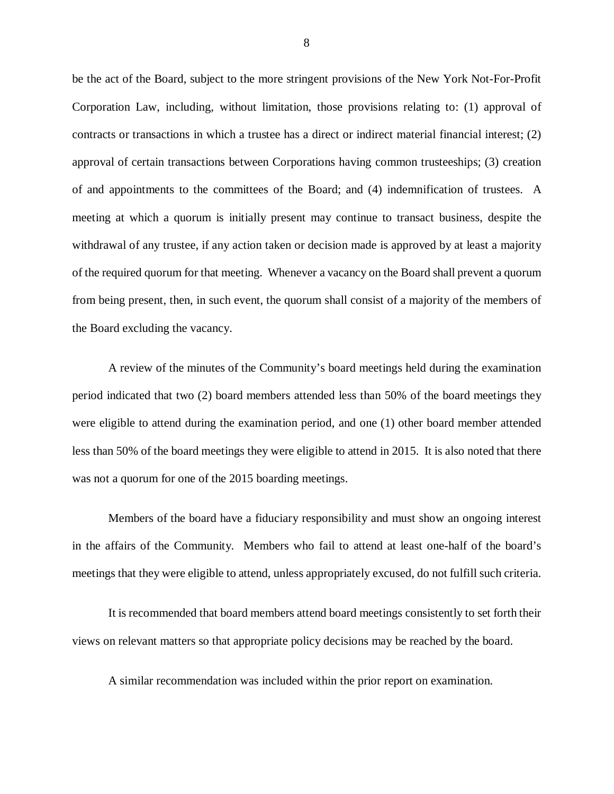be the act of the Board, subject to the more stringent provisions of the New York Not-For-Profit Corporation Law, including, without limitation, those provisions relating to: (1) approval of contracts or transactions in which a trustee has a direct or indirect material financial interest; (2) approval of certain transactions between Corporations having common trusteeships; (3) creation of and appointments to the committees of the Board; and (4) indemnification of trustees. A meeting at which a quorum is initially present may continue to transact business, despite the withdrawal of any trustee, if any action taken or decision made is approved by at least a majority of the required quorum for that meeting. Whenever a vacancy on the Board shall prevent a quorum from being present, then, in such event, the quorum shall consist of a majority of the members of the Board excluding the vacancy.

 A review of the minutes of the Community's board meetings held during the examination period indicated that two (2) board members attended less than 50% of the board meetings they were eligible to attend during the examination period, and one (1) other board member attended less than 50% of the board meetings they were eligible to attend in 2015. It is also noted that there was not a quorum for one of the 2015 boarding meetings.

 Members of the board have a fiduciary responsibility and must show an ongoing interest in the affairs of the Community. Members who fail to attend at least one-half of the board's meetings that they were eligible to attend, unless appropriately excused, do not fulfill such criteria.

 It is recommended that board members attend board meetings consistently to set forth their views on relevant matters so that appropriate policy decisions may be reached by the board.

A similar recommendation was included within the prior report on examination.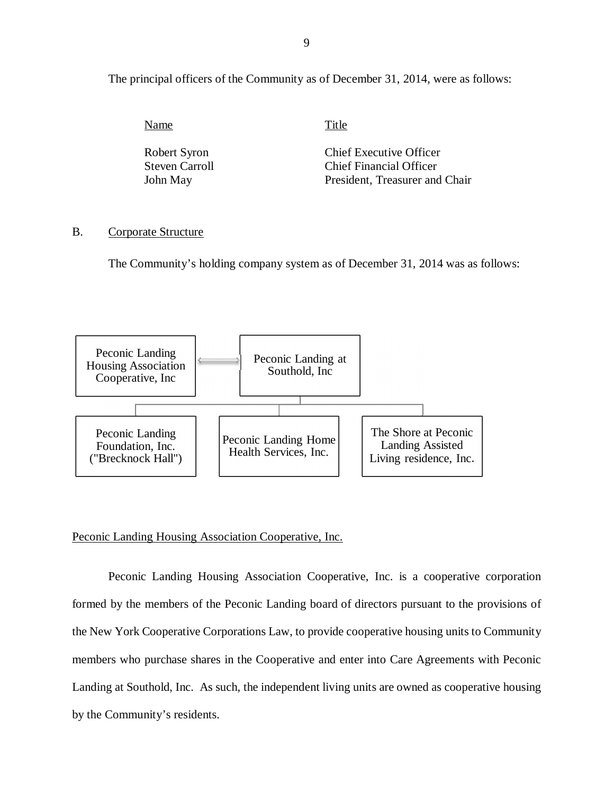<span id="page-10-0"></span>The principal officers of the Community as of December 31, 2014, were as follows:

Name Title

**Steven Carroll** John May

Robert Syron Chief Executive Officer Chief Financial Officer President, Treasurer and Chair

#### B. Corporate Structure

The Community's holding company system as of December 31, 2014 was as follows:



#### Peconic Landing Housing Association Cooperative, Inc.

 Peconic Landing Housing Association Cooperative, Inc. is a cooperative corporation formed by the members of the Peconic Landing board of directors pursuant to the provisions of the New York Cooperative Corporations Law, to provide cooperative housing units to Community members who purchase shares in the Cooperative and enter into Care Agreements with Peconic Landing at Southold, Inc. As such, the independent living units are owned as cooperative housing by the Community's residents.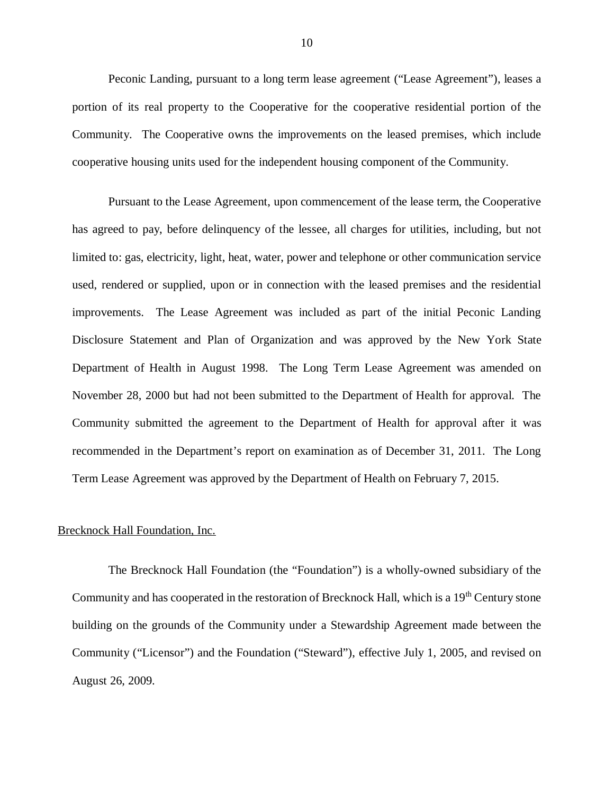Peconic Landing, pursuant to a long term lease agreement ("Lease Agreement"), leases a portion of its real property to the Cooperative for the cooperative residential portion of the Community. The Cooperative owns the improvements on the leased premises, which include cooperative housing units used for the independent housing component of the Community.

 Pursuant to the Lease Agreement, upon commencement of the lease term, the Cooperative has agreed to pay, before delinquency of the lessee, all charges for utilities, including, but not limited to: gas, electricity, light, heat, water, power and telephone or other communication service used, rendered or supplied, upon or in connection with the leased premises and the residential improvements. The Lease Agreement was included as part of the initial Peconic Landing Disclosure Statement and Plan of Organization and was approved by the New York State Department of Health in August 1998. The Long Term Lease Agreement was amended on November 28, 2000 but had not been submitted to the Department of Health for approval. The Community submitted the agreement to the Department of Health for approval after it was recommended in the Department's report on examination as of December 31, 2011. The Long Term Lease Agreement was approved by the Department of Health on February 7, 2015.

#### Brecknock Hall Foundation, Inc.

 The Brecknock Hall Foundation (the "Foundation") is a wholly-owned subsidiary of the Community and has cooperated in the restoration of Brecknock Hall, which is a 19<sup>th</sup> Century stone building on the grounds of the Community under a Stewardship Agreement made between the Community ("Licensor") and the Foundation ("Steward"), effective July 1, 2005, and revised on August 26, 2009.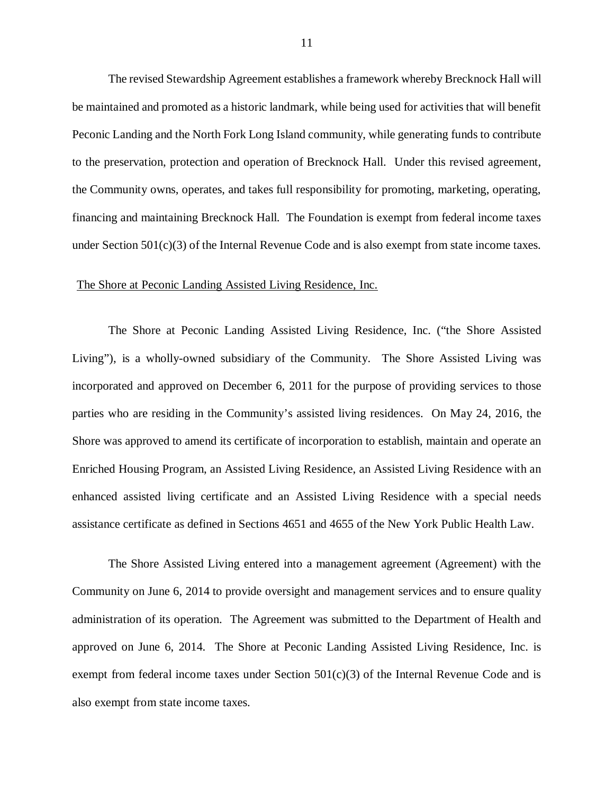The revised Stewardship Agreement establishes a framework whereby Brecknock Hall will be maintained and promoted as a historic landmark, while being used for activities that will benefit Peconic Landing and the North Fork Long Island community, while generating funds to contribute to the preservation, protection and operation of Brecknock Hall. Under this revised agreement, the Community owns, operates, and takes full responsibility for promoting, marketing, operating, financing and maintaining Brecknock Hall. The Foundation is exempt from federal income taxes under Section 501(c)(3) of the Internal Revenue Code and is also exempt from state income taxes.

#### The Shore at Peconic Landing Assisted Living Residence, Inc.

 The Shore at Peconic Landing Assisted Living Residence, Inc. ("the Shore Assisted Living"), is a wholly-owned subsidiary of the Community. The Shore Assisted Living was incorporated and approved on December 6, 2011 for the purpose of providing services to those parties who are residing in the Community's assisted living residences. On May 24, 2016, the Shore was approved to amend its certificate of incorporation to establish, maintain and operate an Enriched Housing Program, an Assisted Living Residence, an Assisted Living Residence with an enhanced assisted living certificate and an Assisted Living Residence with a special needs assistance certificate as defined in Sections 4651 and 4655 of the New York Public Health Law.

 The Shore Assisted Living entered into a management agreement (Agreement) with the Community on June 6, 2014 to provide oversight and management services and to ensure quality administration of its operation. The Agreement was submitted to the Department of Health and approved on June 6, 2014. The Shore at Peconic Landing Assisted Living Residence, Inc. is exempt from federal income taxes under Section  $501(c)(3)$  of the Internal Revenue Code and is also exempt from state income taxes.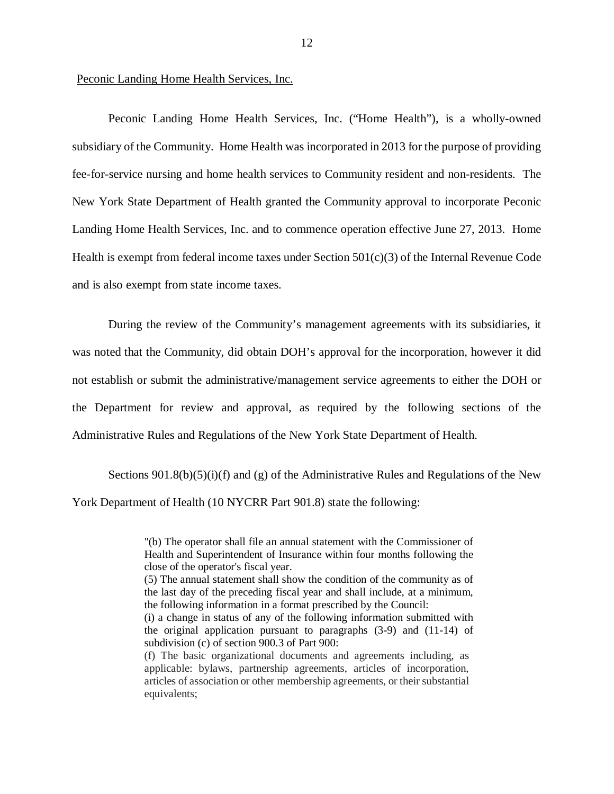#### Peconic Landing Home Health Services, Inc.

 Peconic Landing Home Health Services, Inc. ("Home Health"), is a wholly-owned subsidiary of the Community. Home Health was incorporated in 2013 for the purpose of providing fee-for-service nursing and home health services to Community resident and non-residents. The New York State Department of Health granted the Community approval to incorporate Peconic Landing Home Health Services, Inc. and to commence operation effective June 27, 2013. Home Health is exempt from federal income taxes under Section 501(c)(3) of the Internal Revenue Code and is also exempt from state income taxes.

 During the review of the Community's management agreements with its subsidiaries, it was noted that the Community, did obtain DOH's approval for the incorporation, however it did not establish or submit the administrative/management service agreements to either the DOH or the Department for review and approval, as required by the following sections of the Administrative Rules and Regulations of the New York State Department of Health.

Sections 901.8(b)(5)(i)(f) and (g) of the Administrative Rules and Regulations of the New York Department of Health (10 NYCRR Part 901.8) state the following:

 "(b) The operator shall file an annual statement with the Commissioner of Health and Superintendent of Insurance within four months following the close of the operator's fiscal year.

 (5) The annual statement shall show the condition of the community as of the last day of the preceding fiscal year and shall include, at a minimum, the following information in a format prescribed by the Council:

 (i) a change in status of any of the following information submitted with subdivision (c) of section 900.3 of Part 900: the original application pursuant to paragraphs (3-9) and (11-14) of

 (f) The basic organizational documents and agreements including, as applicable: bylaws, partnership agreements, articles of incorporation, articles of association or other membership agreements, or their substantial equivalents;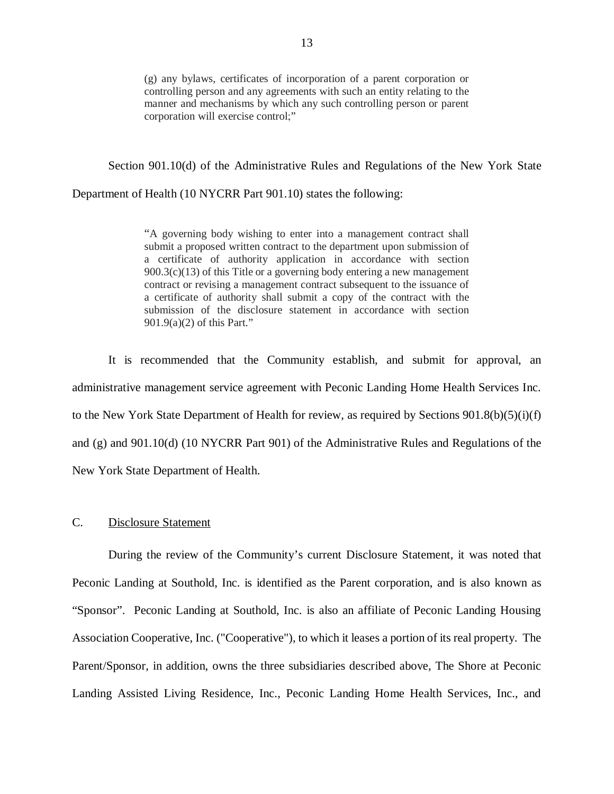<span id="page-14-0"></span> (g) any bylaws, certificates of incorporation of a parent corporation or controlling person and any agreements with such an entity relating to the manner and mechanisms by which any such controlling person or parent corporation will exercise control;"

Section 901.10(d) of the Administrative Rules and Regulations of the New York State

Department of Health (10 NYCRR Part 901.10) states the following:

 "A governing body wishing to enter into a management contract shall submit a proposed written contract to the department upon submission of a certificate of authority application in accordance with section 900.3(c)(13) of this Title or a governing body entering a new management contract or revising a management contract subsequent to the issuance of a certificate of authority shall submit a copy of the contract with the submission of the disclosure statement in accordance with section 901.9(a)(2) of this Part."

 It is recommended that the Community establish, and submit for approval, an administrative management service agreement with Peconic Landing Home Health Services Inc. to the New York State Department of Health for review, as required by Sections 901.8(b)(5)(i)(f) and (g) and 901.10(d) (10 NYCRR Part 901) of the Administrative Rules and Regulations of the New York State Department of Health.

#### C. Disclosure Statement

 During the review of the Community's current Disclosure Statement, it was noted that Peconic Landing at Southold, Inc. is identified as the Parent corporation, and is also known as "Sponsor". Peconic Landing at Southold, Inc. is also an affiliate of Peconic Landing Housing Association Cooperative, Inc. ("Cooperative"), to which it leases a portion of its real property. The Parent/Sponsor, in addition, owns the three subsidiaries described above, The Shore at Peconic Landing Assisted Living Residence, Inc., Peconic Landing Home Health Services, Inc., and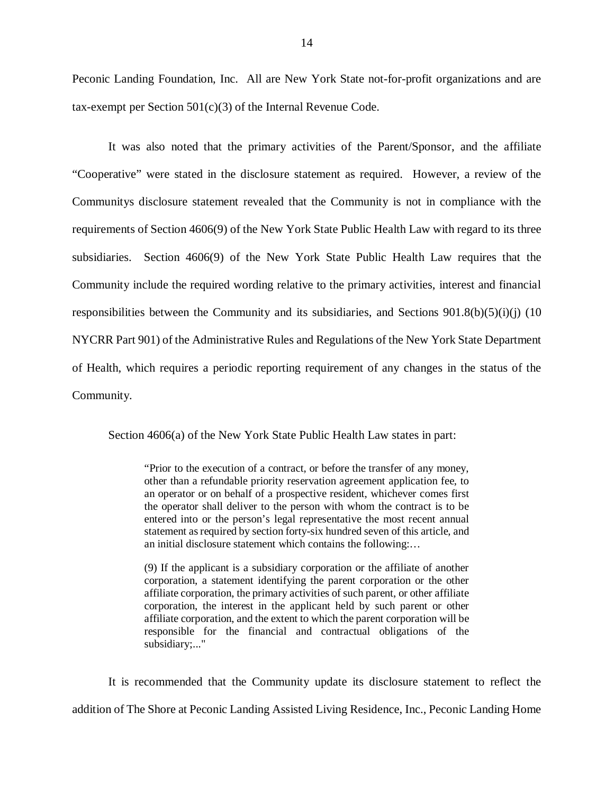Peconic Landing Foundation, Inc. All are New York State not-for-profit organizations and are tax-exempt per Section 501(c)(3) of the Internal Revenue Code.

 It was also noted that the primary activities of the Parent/Sponsor, and the affiliate "Cooperative" were stated in the disclosure statement as required. However, a review of the Communitys disclosure statement revealed that the Community is not in compliance with the requirements of Section 4606(9) of the New York State Public Health Law with regard to its three subsidiaries. Section 4606(9) of the New York State Public Health Law requires that the Community include the required wording relative to the primary activities, interest and financial responsibilities between the Community and its subsidiaries, and Sections 901.8(b)(5)(i)(j) (10 NYCRR Part 901) of the Administrative Rules and Regulations of the New York State Department of Health, which requires a periodic reporting requirement of any changes in the status of the Community.

Section 4606(a) of the New York State Public Health Law states in part:

 "Prior to the execution of a contract, or before the transfer of any money, other than a refundable priority reservation agreement application fee, to an operator or on behalf of a prospective resident, whichever comes first the operator shall deliver to the person with whom the contract is to be entered into or the person's legal representative the most recent annual statement as required by section forty-six hundred seven of this article, and an initial disclosure statement which contains the following:…

 (9) If the applicant is a subsidiary corporation or the affiliate of another corporation, a statement identifying the parent corporation or the other affiliate corporation, the primary activities of such parent, or other affiliate corporation, the interest in the applicant held by such parent or other affiliate corporation, and the extent to which the parent corporation will be responsible for the financial and contractual obligations of the subsidiary;..."

 It is recommended that the Community update its disclosure statement to reflect the addition of The Shore at Peconic Landing Assisted Living Residence, Inc., Peconic Landing Home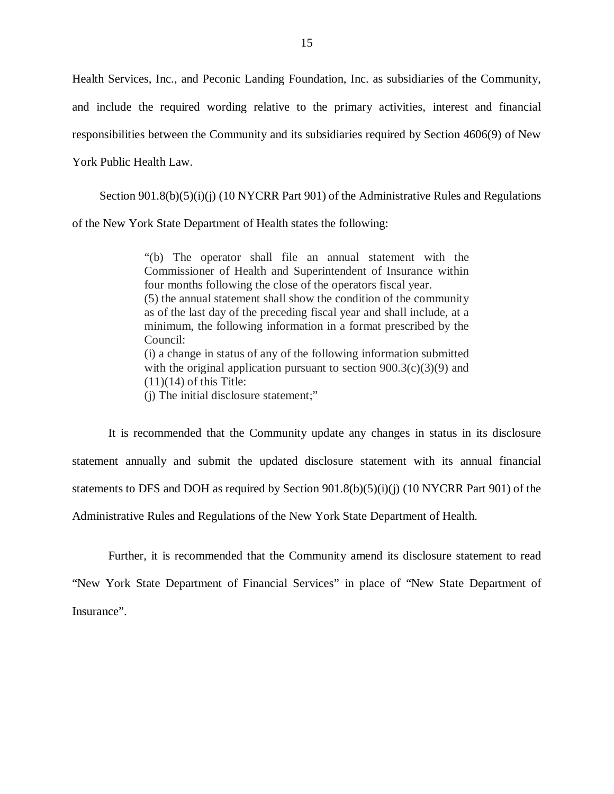Health Services, Inc., and Peconic Landing Foundation, Inc. as subsidiaries of the Community, and include the required wording relative to the primary activities, interest and financial responsibilities between the Community and its subsidiaries required by Section 4606(9) of New York Public Health Law.

Section 901.8(b)(5)(i)(j) (10 NYCRR Part 901) of the Administrative Rules and Regulations of the New York State Department of Health states the following:

> "(b) The operator shall file an annual statement with the Commissioner of Health and Superintendent of Insurance within four months following the close of the operators fiscal year. (5) the annual statement shall show the condition of the community as of the last day of the preceding fiscal year and shall include, at a minimum, the following information in a format prescribed by the (i) a change in status of any of the following information submitted with the original application pursuant to section  $900.3(c)(3)(9)$  and  $(11)(14)$  of this Title: (j) The initial disclosure statement;" Council:

 It is recommended that the Community update any changes in status in its disclosure statement annually and submit the updated disclosure statement with its annual financial statements to DFS and DOH as required by Section 901.8(b)(5)(i)(j) (10 NYCRR Part 901) of the Administrative Rules and Regulations of the New York State Department of Health.

 Further, it is recommended that the Community amend its disclosure statement to read "New York State Department of Financial Services" in place of "New State Department of Insurance".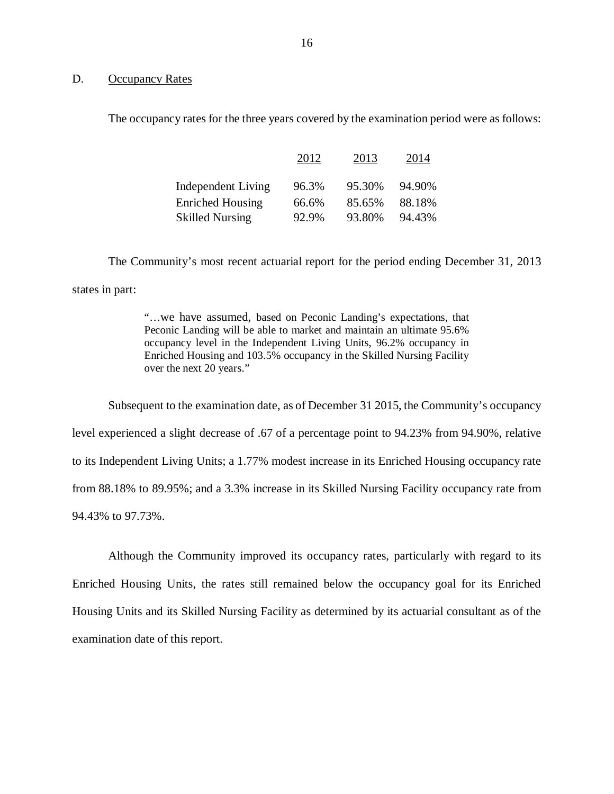#### D. Occupancy Rates

The occupancy rates for the three years covered by the examination period were as follows:

|                         | 2012  | 2013   | 2014   |
|-------------------------|-------|--------|--------|
| Independent Living      | 96.3% | 95.30% | 94.90% |
| <b>Enriched Housing</b> | 66.6% | 85.65% | 88.18% |
| <b>Skilled Nursing</b>  | 92.9% | 93.80% | 94.43% |

 The Community's most recent actuarial report for the period ending December 31, 2013 states in part:

> "…we have assumed, based on Peconic Landing's expectations, that Peconic Landing will be able to market and maintain an ultimate 95.6% occupancy level in the Independent Living Units, 96.2% occupancy in Enriched Housing and 103.5% occupancy in the Skilled Nursing Facility over the next 20 years."

 Subsequent to the examination date, as of December 31 2015, the Community's occupancy level experienced a slight decrease of .67 of a percentage point to 94.23% from 94.90%, relative to its Independent Living Units; a 1.77% modest increase in its Enriched Housing occupancy rate from 88.18% to 89.95%; and a 3.3% increase in its Skilled Nursing Facility occupancy rate from 94.43% to 97.73%.

 Although the Community improved its occupancy rates, particularly with regard to its Enriched Housing Units, the rates still remained below the occupancy goal for its Enriched Housing Units and its Skilled Nursing Facility as determined by its actuarial consultant as of the examination date of this report.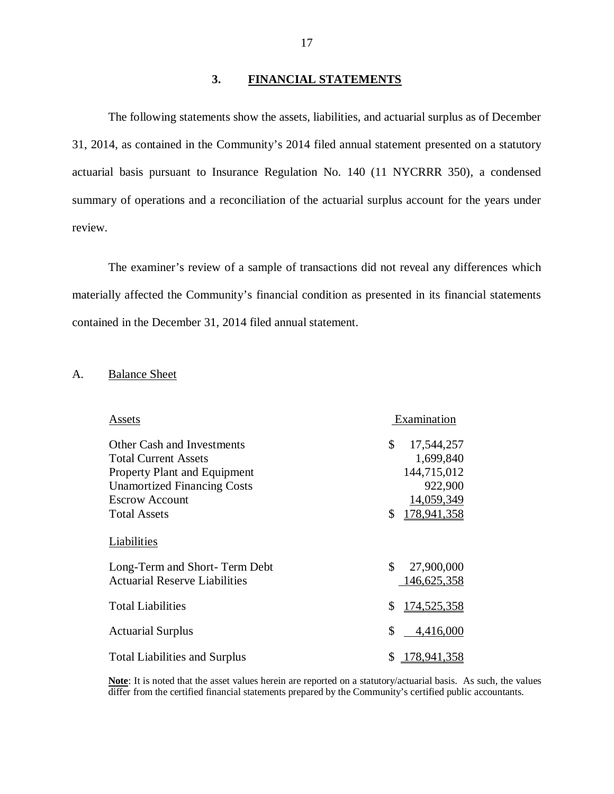#### **3. FINANCIAL STATEMENTS**

<span id="page-18-0"></span> The following statements show the assets, liabilities, and actuarial surplus as of December 31, 2014, as contained in the Community's 2014 filed annual statement presented on a statutory actuarial basis pursuant to Insurance Regulation No. 140 (11 NYCRRR 350), a condensed summary of operations and a reconciliation of the actuarial surplus account for the years under review.

 The examiner's review of a sample of transactions did not reveal any differences which materially affected the Community's financial condition as presented in its financial statements contained in the December 31, 2014 filed annual statement.

#### A. **Balance Sheet**

| Assets                               | Examination       |  |
|--------------------------------------|-------------------|--|
| <b>Other Cash and Investments</b>    | \$<br>17,544,257  |  |
| <b>Total Current Assets</b>          | 1,699,840         |  |
| <b>Property Plant and Equipment</b>  | 144,715,012       |  |
| <b>Unamortized Financing Costs</b>   | 922,900           |  |
| <b>Escrow Account</b>                | 14,059,349        |  |
| <b>Total Assets</b>                  | \$<br>178,941,358 |  |
| Liabilities                          |                   |  |
| Long-Term and Short-Term Debt        | \$<br>27,900,000  |  |
| <b>Actuarial Reserve Liabilities</b> | 146, 625, 358     |  |
| <b>Total Liabilities</b>             | \$<br>174,525,358 |  |
| <b>Actuarial Surplus</b>             | \$<br>4,416,000   |  |
| <b>Total Liabilities and Surplus</b> | \$178,941,358     |  |

 **Note**: It is noted that the asset values herein are reported on a statutory/actuarial basis. As such, the values differ from the certified financial statements prepared by the Community's certified public accountants.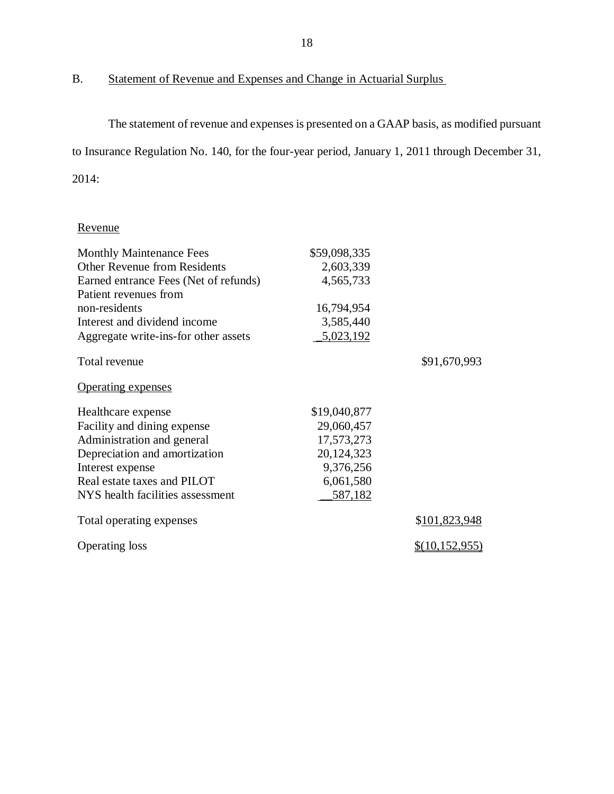B. Statement of Revenue and Expenses and Change in Actuarial Surplus

 The statement of revenue and expenses is presented on a GAAP basis, as modified pursuant to Insurance Regulation No. 140, for the four-year period, January 1, 2011 through December 31, 2014:

### Revenue

| <b>Monthly Maintenance Fees</b>       | \$59,098,335 |                       |
|---------------------------------------|--------------|-----------------------|
| <b>Other Revenue from Residents</b>   | 2,603,339    |                       |
| Earned entrance Fees (Net of refunds) | 4,565,733    |                       |
| Patient revenues from                 |              |                       |
| non-residents                         | 16,794,954   |                       |
| Interest and dividend income          | 3,585,440    |                       |
| Aggregate write-ins-for other assets  | 5,023,192    |                       |
| Total revenue                         |              | \$91,670,993          |
| <b>Operating expenses</b>             |              |                       |
| Healthcare expense                    | \$19,040,877 |                       |
| Facility and dining expense           | 29,060,457   |                       |
| Administration and general            | 17,573,273   |                       |
| Depreciation and amortization         | 20,124,323   |                       |
| Interest expense                      | 9,376,256    |                       |
| Real estate taxes and PILOT           | 6,061,580    |                       |
| NYS health facilities assessment      | 587,182      |                       |
| Total operating expenses              |              | \$101,823,948         |
| <b>Operating loss</b>                 |              | <u>\$(10,152,955)</u> |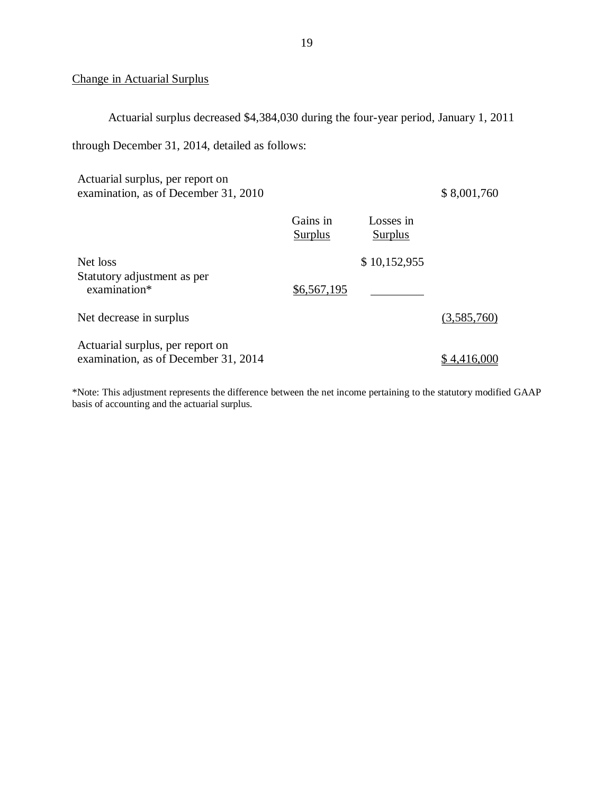#### Change in Actuarial Surplus

Actuarial surplus decreased \$4,384,030 during the four-year period, January 1, 2011

through December 31, 2014, detailed as follows:

| Actuarial surplus, per report on<br>examination, as of December 31, 2010 |                     |                      | \$8,001,760 |
|--------------------------------------------------------------------------|---------------------|----------------------|-------------|
|                                                                          | Gains in<br>Surplus | Losses in<br>Surplus |             |
| Net loss                                                                 |                     | \$10,152,955         |             |
| Statutory adjustment as per<br>examination*                              | \$6,567,195         |                      |             |
| Net decrease in surplus                                                  |                     |                      | (3,585,760) |
| Actuarial surplus, per report on<br>examination, as of December 31, 2014 |                     |                      | 4.416.      |

 \*Note: This adjustment represents the difference between the net income pertaining to the statutory modified GAAP basis of accounting and the actuarial surplus.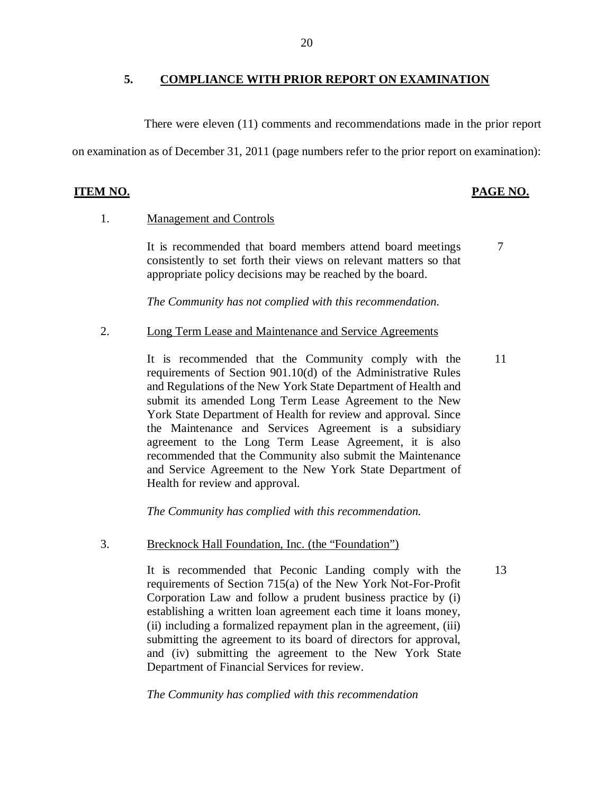#### **5. COMPLIANCE WITH PRIOR REPORT ON EXAMINATION**

There were eleven (11) comments and recommendations made in the prior report

on examination as of December 31, 2011 (page numbers refer to the prior report on examination):

#### **ITEM NO.**

#### **PAGE NO.**

#### 1. Management and Controls

 consistently to set forth their views on relevant matters so that appropriate policy decisions may be reached by the board. It is recommended that board members attend board meetings 7

 *The Community has not complied with this recommendation.* 

2. Long Term Lease and Maintenance and Service Agreements

 requirements of Section 901.10(d) of the Administrative Rules and Regulations of the New York State Department of Health and submit its amended Long Term Lease Agreement to the New York State Department of Health for review and approval. Since the Maintenance and Services Agreement is a subsidiary agreement to the Long Term Lease Agreement, it is also recommended that the Community also submit the Maintenance and Service Agreement to the New York State Department of Health for review and approval. It is recommended that the Community comply with the 11

 *The Community has complied with this recommendation.* 

3. Brecknock Hall Foundation, Inc. (the "Foundation")

 It is recommended that Peconic Landing comply with the 13 requirements of Section 715(a) of the New York Not-For-Profit Corporation Law and follow a prudent business practice by (i) establishing a written loan agreement each time it loans money, (ii) including a formalized repayment plan in the agreement, (iii) submitting the agreement to its board of directors for approval, and (iv) submitting the agreement to the New York State Department of Financial Services for review.

 *The Community has complied with this recommendation*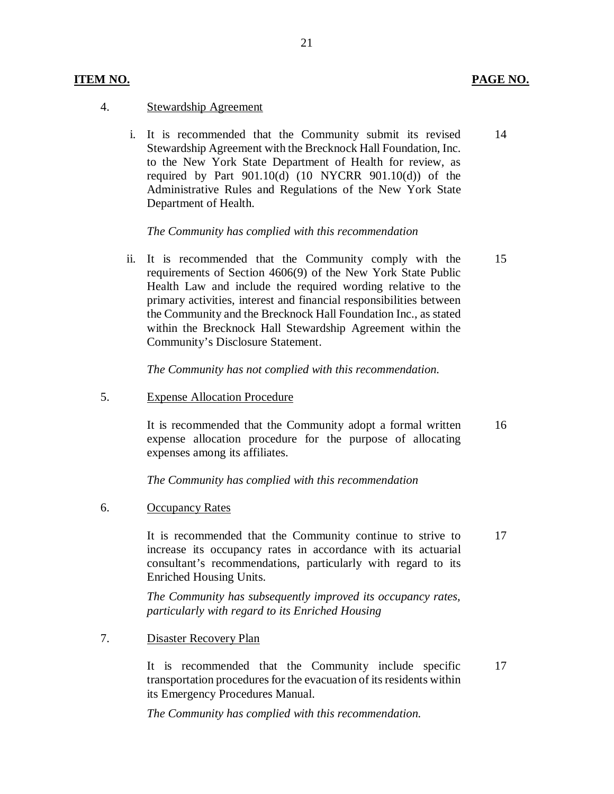#### **ITEM NO. PAGE NO.**

#### 4. Stewardship Agreement

 i. It is recommended that the Community submit its revised Stewardship Agreement with the Brecknock Hall Foundation, Inc. to the New York State Department of Health for review, as required by Part 901.10(d) (10 NYCRR 901.10(d)) of the Administrative Rules and Regulations of the New York State Department of Health. 14

#### *The Community has complied with this recommendation*

 ii. It is recommended that the Community comply with the requirements of Section 4606(9) of the New York State Public Health Law and include the required wording relative to the primary activities, interest and financial responsibilities between the Community and the Brecknock Hall Foundation Inc., as stated within the Brecknock Hall Stewardship Agreement within the Community's Disclosure Statement. 15

 *The Community has not complied with this recommendation.* 

5. Expense Allocation Procedure

 It is recommended that the Community adopt a formal written expense allocation procedure for the purpose of allocating expenses among its affiliates. 16

 *The Community has complied with this recommendation* 

6. Occupancy Rates

 It is recommended that the Community continue to strive to increase its occupancy rates in accordance with its actuarial consultant's recommendations, particularly with regard to its Enriched Housing Units. 17

 *The Community has subsequently improved its occupancy rates, particularly with regard to its Enriched Housing* 

7. Disaster Recovery Plan

 It is recommended that the Community include specific transportation procedures for the evacuation of its residents within its Emergency Procedures Manual. 17

 *The Community has complied with this recommendation.*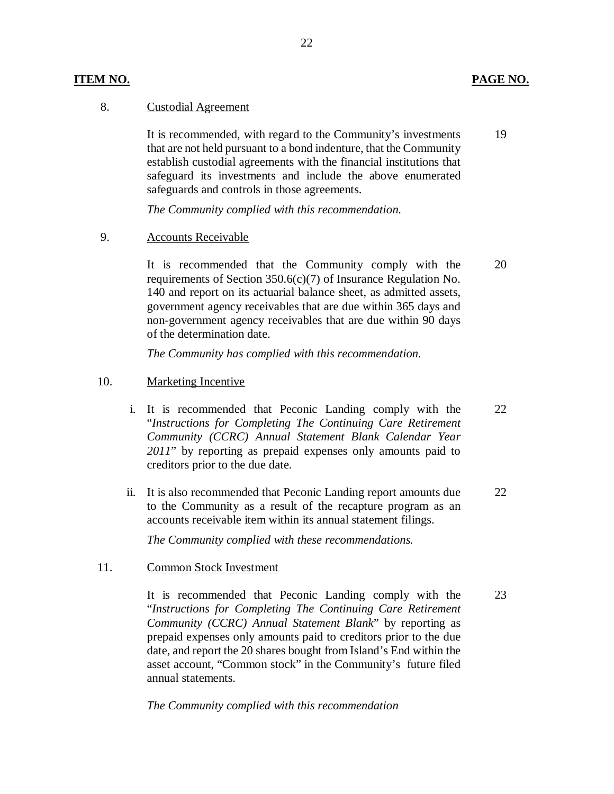#### **ITEM NO. PAGE NO.**

#### 8. Custodial Agreement

 that are not held pursuant to a bond indenture, that the Community establish custodial agreements with the financial institutions that safeguard its investments and include the above enumerated safeguards and controls in those agreements. It is recommended, with regard to the Community's investments 19

 *The Community complied with this recommendation.* 

#### 9. Accounts Receivable

 requirements of Section 350.6(c)(7) of Insurance Regulation No. 140 and report on its actuarial balance sheet, as admitted assets, government agency receivables that are due within 365 days and non-government agency receivables that are due within 90 days of the determination date. It is recommended that the Community comply with the 20

 *The Community has complied with this recommendation.* 

#### 10. Marketing Incentive

- i. It is recommended that Peconic Landing comply with the  "*Instructions for Completing The Continuing Care Retirement Community (CCRC) Annual Statement Blank Calendar Year 2011*" by reporting as prepaid expenses only amounts paid to creditors prior to the due date. 22
- ii. It is also recommended that Peconic Landing report amounts due to the Community as a result of the recapture program as an accounts receivable item within its annual statement filings. 22

 *The Community complied with these recommendations.* 

#### 11. Common Stock Investment

 It is recommended that Peconic Landing comply with the  "*Instructions for Completing The Continuing Care Retirement Community (CCRC) Annual Statement Blank*" by reporting as prepaid expenses only amounts paid to creditors prior to the due date, and report the 20 shares bought from Island's End within the asset account, "Common stock" in the Community's future filed annual statements. 23

 *The Community complied with this recommendation*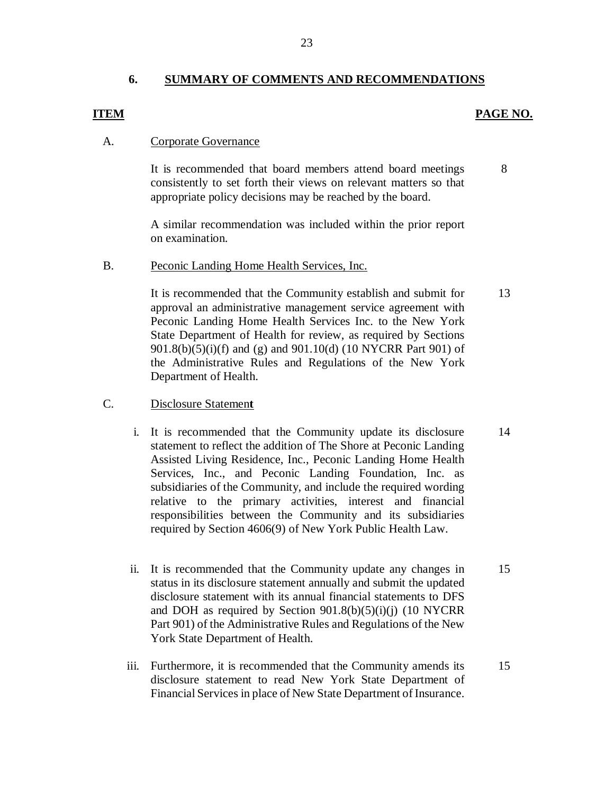#### **6. SUMMARY OF COMMENTS AND RECOMMENDATIONS**

23

#### **ITEM** PAGE NO.

#### A. Corporate Governance

 consistently to set forth their views on relevant matters so that appropriate policy decisions may be reached by the board. It is recommended that board members attend board meetings

 A similar recommendation was included within the prior report on examination.

#### B. Peconic Landing Home Health Services, Inc.

 It is recommended that the Community establish and submit for approval an administrative management service agreement with Peconic Landing Home Health Services Inc. to the New York State Department of Health for review, as required by Sections 901.8(b)(5)(i)(f) and (g) and 901.10(d) (10 NYCRR Part 901) of the Administrative Rules and Regulations of the New York Department of Health.

#### C. Disclosure Statemen**t**

- i. It is recommended that the Community update its disclosure statement to reflect the addition of The Shore at Peconic Landing Assisted Living Residence, Inc., Peconic Landing Home Health Services, Inc., and Peconic Landing Foundation, Inc. as subsidiaries of the Community, and include the required wording relative to the primary activities, interest and financial responsibilities between the Community and its subsidiaries required by Section 4606(9) of New York Public Health Law.
- ii. It is recommended that the Community update any changes in status in its disclosure statement annually and submit the updated disclosure statement with its annual financial statements to DFS and DOH as required by Section 901.8(b)(5)(i)(j) (10 NYCRR Part 901) of the Administrative Rules and Regulations of the New York State Department of Health.
- iii. Furthermore, it is recommended that the Community amends its disclosure statement to read New York State Department of Financial Services in place of New State Department of Insurance. 15

8

13

14

15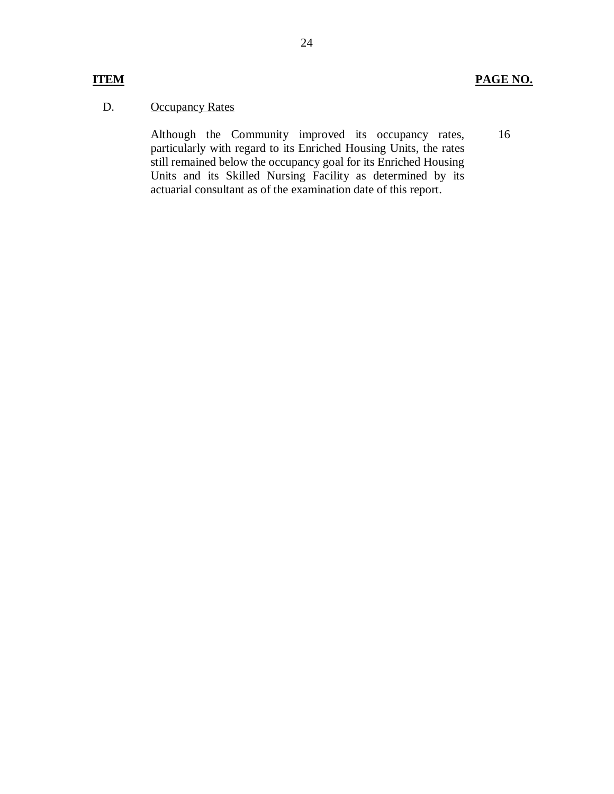16

#### D. **Occupancy Rates**

 Although the Community improved its occupancy rates, particularly with regard to its Enriched Housing Units, the rates still remained below the occupancy goal for its Enriched Housing Units and its Skilled Nursing Facility as determined by its actuarial consultant as of the examination date of this report.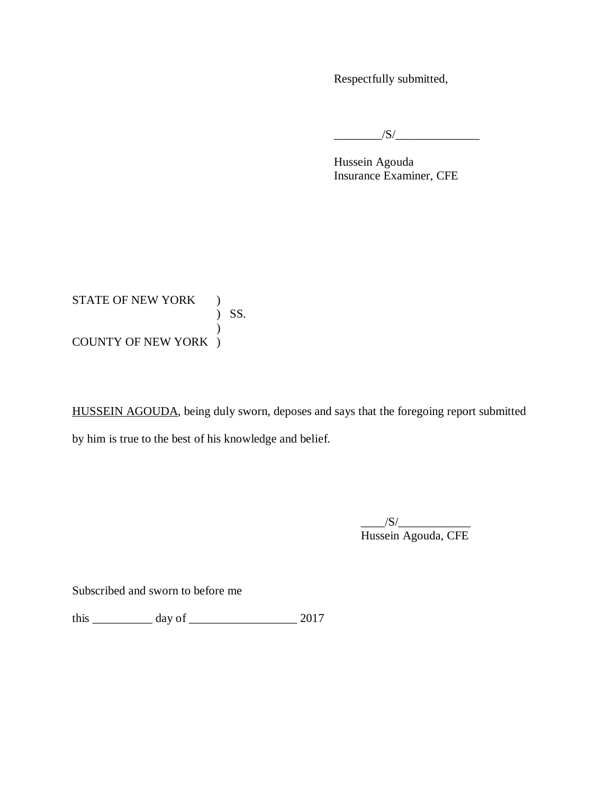Respectfully submitted,

 $\frac{1}{\sqrt{S}}$ 

 Insurance Examiner, CFE Hussein Agouda

STATE OF NEW YORK ) COUNTY OF NEW YORK ) ) SS.  $\mathcal{L}$ 

HUSSEIN AGOUDA, being duly sworn, deposes and says that the foregoing report submitted by him is true to the best of his knowledge and belief.

> $\frac{1}{\sqrt{S}}$ Hussein Agouda, CFE

Subscribed and sworn to before me

this \_\_\_\_\_\_\_\_\_\_ day of \_\_\_\_\_\_\_\_\_\_\_\_\_\_\_\_\_\_ 2017